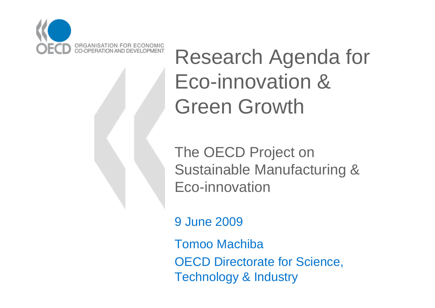

Research Agenda for Eco-innovation & Green Growth

The OECD Project on Sustainable Manufacturing & Eco-innovation

9 June 2009

Tomoo MachibaOECD Directorate for Science,

Technology & Industry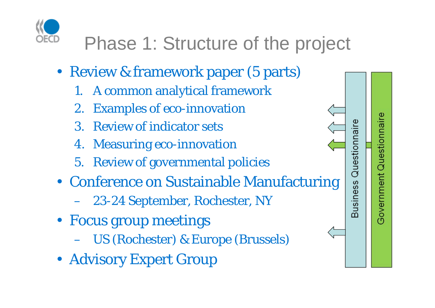

# Phase 1: Structure of the project

- Review & framework paper (5 parts)
	- 1. A common analytical framework
	- 2. Examples of eco-innovation
	- 3. Review of indicator sets
	- 4. Measuring eco-innovation
	- 5. Review of governmental policies
- Conference on Sustainable Manufacturing
	- 23-24 September, Rochester, NY
- Focus group meetings
	- US (Rochester) & Europe (Brussels)
- Advisory Expert Group

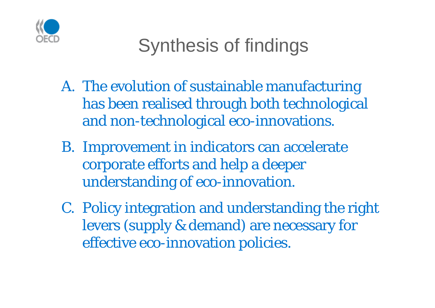

# Synthesis of findings

- A. The evolution of sustainable manufacturing has been realised through both technological and non-technological eco-innovations.
- B. Improvement in indicators can accelerate corporate efforts and help a deeper understanding of eco-innovation.
- C. Policy integration and understanding the right levers (supply & demand) are necessary for effective eco-innovation policies.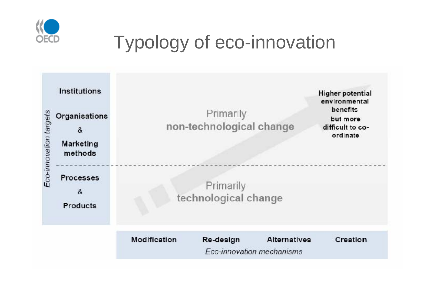

## Typology of eco-innovation

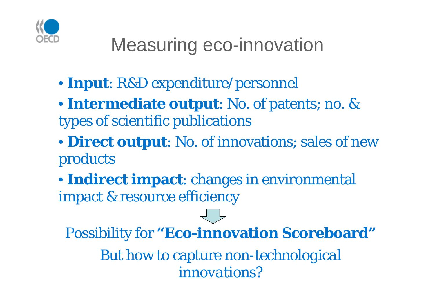

## Measuring eco-innovation

- **Input**: R&D expenditure/personnel
- **Intermediate output**: No. of patents; no. & types of scientific publications
- **Direct output**: No. of innovations; sales of new products
- **Indirect impact**: changes in environmental impact & resource efficiency

Possibility for **"Eco-innovation Scoreboard"** But how to capture *non-technological* 

*innovations?*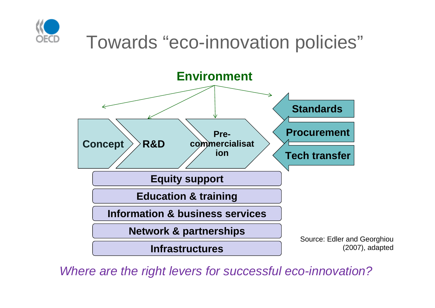



*Where are the right levers for successful eco-innovation?*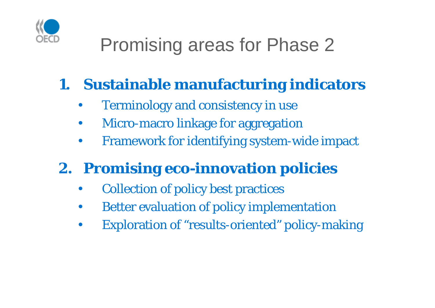

# Promising areas for Phase 2

#### **1. Sustainable manufacturing indicators**

- Terminology and consistency in use
- Micro-macro linkage for aggregation
- Framework for identifying system-wide impact

### **2. Promising eco-innovation policies**

- Collection of policy best practices
- Better evaluation of policy implementation
- Exploration of "results-oriented" policy-making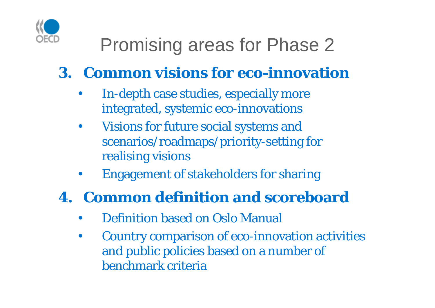

## Promising areas for Phase 2

#### **3. Common visions for eco-innovation**

- In-depth case studies, especially more integrated, systemic eco-innovations
- Visions for future social systems and scenarios/roadmaps/priority-setting for realising visions
- Engagement of stakeholders for sharing

#### **4. Common definition and scoreboard**

- Definition based on Oslo Manual
- Country comparison of eco-innovation activities and public policies based on a number of benchmark criteria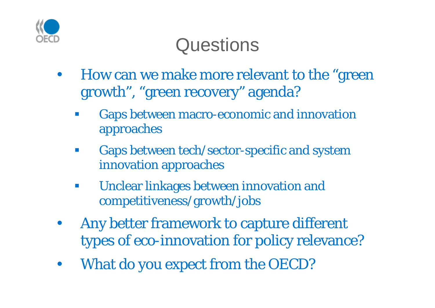

## **Questions**

- How can we make more relevant to the "green growth", "green recovery" agenda?
	- p. Gaps between macro-economic and innovation approaches
	- $\mathbb{R}^n$  Gaps between tech/sector-specific and system innovation approaches
	- $\mathcal{L}_{\mathcal{A}}$  Unclear linkages between innovation and competitiveness/growth/jobs
- Any better framework to capture different types of eco-innovation for policy relevance?
- What do you expect from the OECD?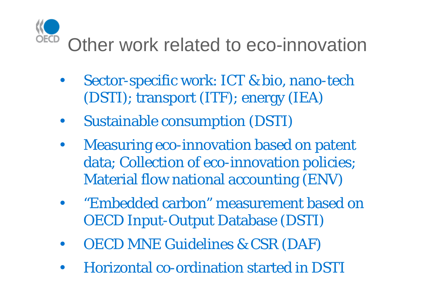## Other work related to eco-innovation

- Sector-specific work: ICT & bio, nano-tech (DSTI); transport (ITF); energy (IEA)
- Sustainable consumption (DSTI)
- Measuring eco-innovation based on patent data; Collection of eco-innovation policies; Material flow national accounting (ENV)
- "Embedded carbon" measurement based on OECD Input-Output Database (DSTI)
- OECD MNE Guidelines & CSR (DAF)
- Horizontal co-ordination started in DSTI